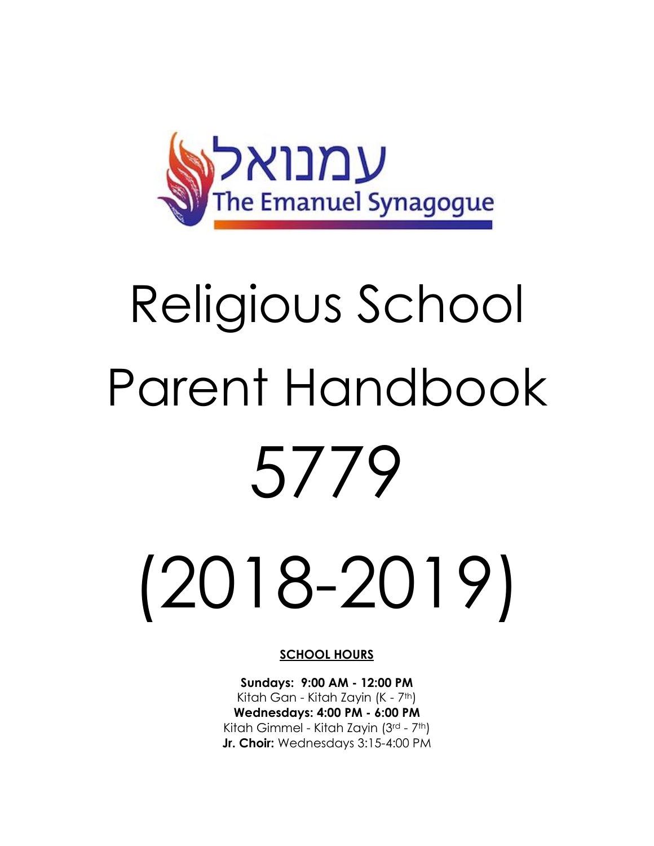

# Religious School Parent Handbook 5779

(2018-2019)

#### **SCHOOL HOURS**

**Sundays: 9:00 AM - 12:00 PM** Kitah Gan - Kitah Zayin (K - 7th) **Wednesdays: 4:00 PM - 6:00 PM** Kitah Gimmel - Kitah Zayin (3rd - 7th) **Jr. Choir:** Wednesdays 3:15-4:00 PM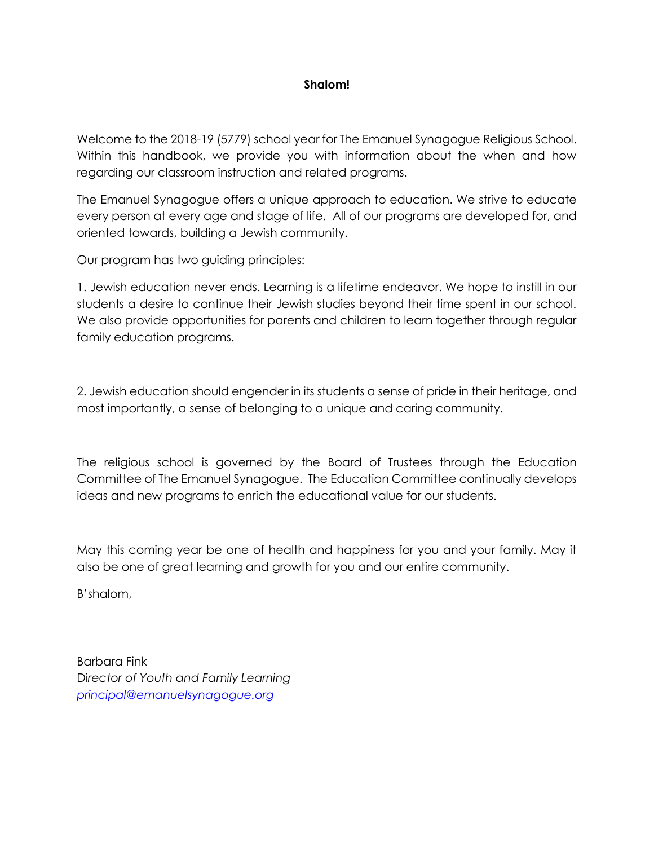## **Shalom!**

Welcome to the 2018-19 (5779) school year for The Emanuel Synagogue Religious School. Within this handbook, we provide you with information about the when and how regarding our classroom instruction and related programs.

The Emanuel Synagogue offers a unique approach to education. We strive to educate every person at every age and stage of life. All of our programs are developed for, and oriented towards, building a Jewish community.

Our program has two guiding principles:

1. Jewish education never ends. Learning is a lifetime endeavor. We hope to instill in our students a desire to continue their Jewish studies beyond their time spent in our school. We also provide opportunities for parents and children to learn together through regular family education programs.

2. Jewish education should engender in its students a sense of pride in their heritage, and most importantly, a sense of belonging to a unique and caring community.

The religious school is governed by the Board of Trustees through the Education Committee of The Emanuel Synagogue. The Education Committee continually develops ideas and new programs to enrich the educational value for our students.

May this coming year be one of health and happiness for you and your family. May it also be one of great learning and growth for you and our entire community.

B'shalom,

Barbara Fink Di*rector of Youth and Family Learning [principal@emanuelsynagogue.org](mailto:principal@emanuelsynagogue.org)*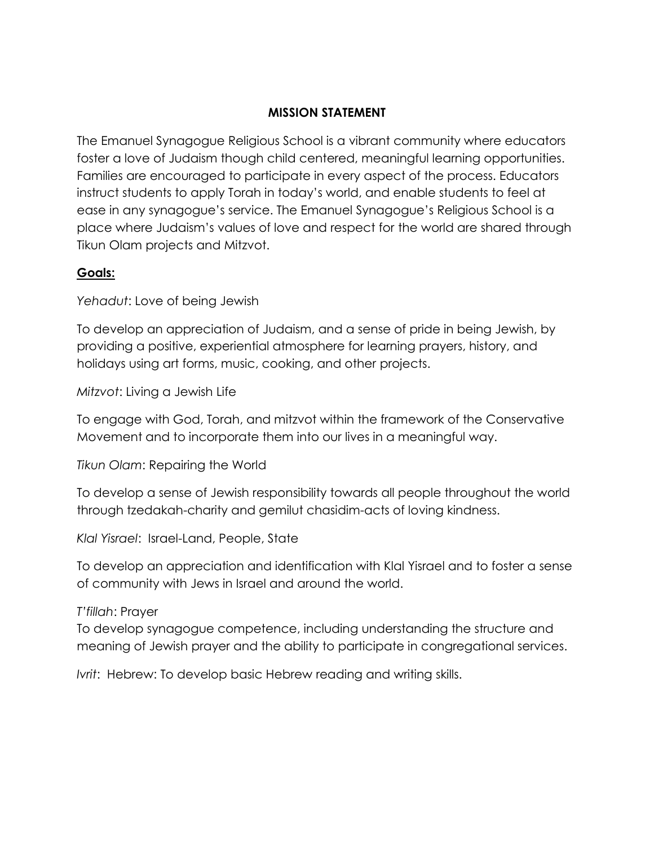## **MISSION STATEMENT**

The Emanuel Synagogue Religious School is a vibrant community where educators foster a love of Judaism though child centered, meaningful learning opportunities. Families are encouraged to participate in every aspect of the process. Educators instruct students to apply Torah in today's world, and enable students to feel at ease in any synagogue's service. The Emanuel Synagogue's Religious School is a place where Judaism's values of love and respect for the world are shared through Tikun Olam projects and Mitzvot.

# **Goals:**

*Yehadut*: Love of being Jewish

To develop an appreciation of Judaism, and a sense of pride in being Jewish, by providing a positive, experiential atmosphere for learning prayers, history, and holidays using art forms, music, cooking, and other projects.

*Mitzvot*: Living a Jewish Life

To engage with God, Torah, and mitzvot within the framework of the Conservative Movement and to incorporate them into our lives in a meaningful way.

*Tikun Olam*: Repairing the World

To develop a sense of Jewish responsibility towards all people throughout the world through tzedakah-charity and gemilut chasidim-acts of loving kindness.

*Klal Yisrael*: Israel-Land, People, State

To develop an appreciation and identification with Klal Yisrael and to foster a sense of community with Jews in Israel and around the world.

# *T'fillah*: Prayer

To develop synagogue competence, including understanding the structure and meaning of Jewish prayer and the ability to participate in congregational services.

*Ivrit*: Hebrew: To develop basic Hebrew reading and writing skills.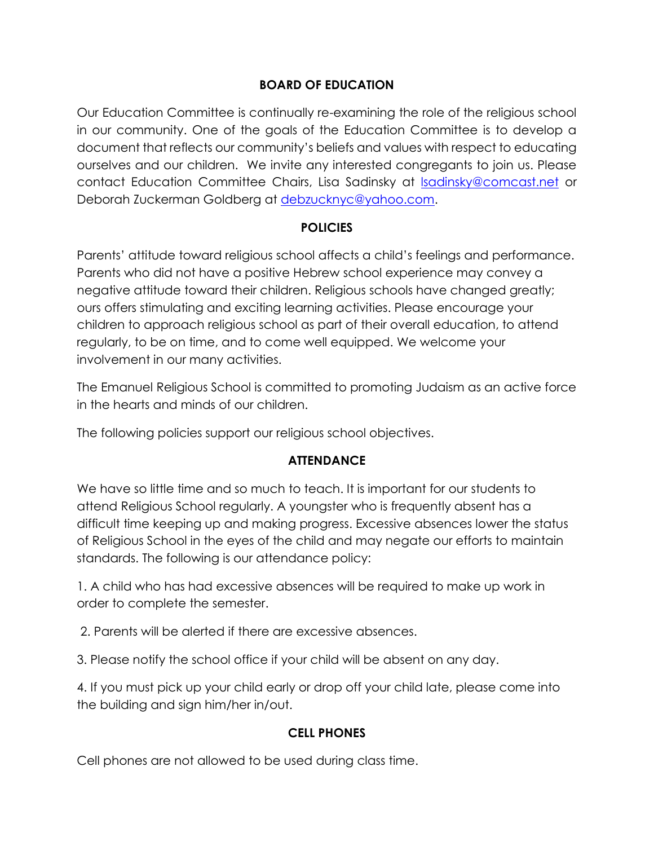# **BOARD OF EDUCATION**

Our Education Committee is continually re-examining the role of the religious school in our community. One of the goals of the Education Committee is to develop a document that reflects our community's beliefs and values with respect to educating ourselves and our children. We invite any interested congregants to join us. Please contact Education Committee Chairs, Lisa Sadinsky at [lsadinsky@comcast.net](mailto:lsadinsky@comcast.net) or Deborah Zuckerman Goldberg at [debzucknyc@yahoo.com.](mailto:debzucknyc@yahoo.com)

## **POLICIES**

Parents' attitude toward religious school affects a child's feelings and performance. Parents who did not have a positive Hebrew school experience may convey a negative attitude toward their children. Religious schools have changed greatly; ours offers stimulating and exciting learning activities. Please encourage your children to approach religious school as part of their overall education, to attend regularly, to be on time, and to come well equipped. We welcome your involvement in our many activities.

The Emanuel Religious School is committed to promoting Judaism as an active force in the hearts and minds of our children.

The following policies support our religious school objectives.

# **ATTENDANCE**

We have so little time and so much to teach. It is important for our students to attend Religious School regularly. A youngster who is frequently absent has a difficult time keeping up and making progress. Excessive absences lower the status of Religious School in the eyes of the child and may negate our efforts to maintain standards. The following is our attendance policy:

1. A child who has had excessive absences will be required to make up work in order to complete the semester.

2. Parents will be alerted if there are excessive absences.

3. Please notify the school office if your child will be absent on any day.

4. If you must pick up your child early or drop off your child late, please come into the building and sign him/her in/out.

# **CELL PHONES**

Cell phones are not allowed to be used during class time.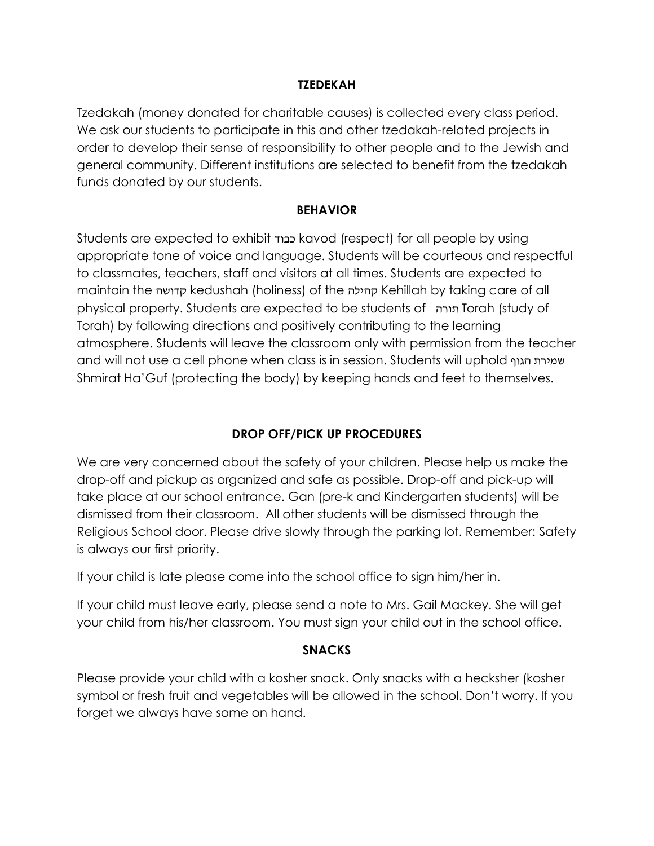## **TZEDEKAH**

Tzedakah (money donated for charitable causes) is collected every class period. We ask our students to participate in this and other tzedakah-related projects in order to develop their sense of responsibility to other people and to the Jewish and general community. Different institutions are selected to benefit from the tzedakah funds donated by our students.

## **BEHAVIOR**

Students are expected to exhibit כבוד kavod (respect) for all people by using appropriate tone of voice and language. Students will be courteous and respectful to classmates, teachers, staff and visitors at all times. Students are expected to maintain the קדושה kedushah (holiness) of the קהילה Kehillah by taking care of all physical property. Students are expected to be students of תורה Torah (study of Torah) by following directions and positively contributing to the learning atmosphere. Students will leave the classroom only with permission from the teacher and will not use a cell phone when class is in session. Students will uphold הגוף שמירת Shmirat Ha'Guf (protecting the body) by keeping hands and feet to themselves.

# **DROP OFF/PICK UP PROCEDURES**

We are very concerned about the safety of your children. Please help us make the drop-off and pickup as organized and safe as possible. Drop-off and pick-up will take place at our school entrance. Gan (pre-k and Kindergarten students) will be dismissed from their classroom. All other students will be dismissed through the Religious School door. Please drive slowly through the parking lot. Remember: Safety is always our first priority.

If your child is late please come into the school office to sign him/her in.

If your child must leave early, please send a note to Mrs. Gail Mackey. She will get your child from his/her classroom. You must sign your child out in the school office.

## **SNACKS**

Please provide your child with a kosher snack. Only snacks with a hecksher (kosher symbol or fresh fruit and vegetables will be allowed in the school. Don't worry. If you forget we always have some on hand.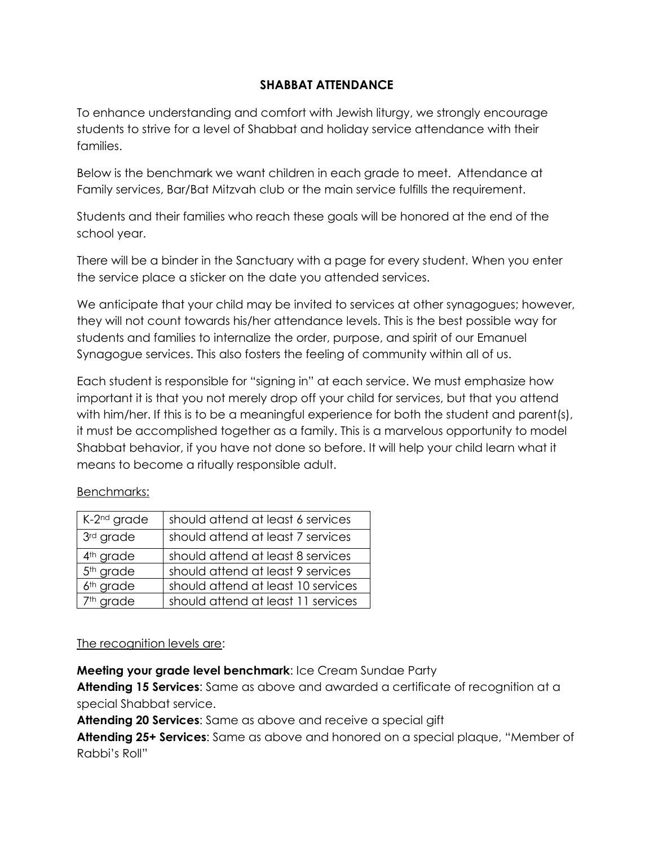# **SHABBAT ATTENDANCE**

To enhance understanding and comfort with Jewish liturgy, we strongly encourage students to strive for a level of Shabbat and holiday service attendance with their families.

Below is the benchmark we want children in each grade to meet. Attendance at Family services, Bar/Bat Mitzvah club or the main service fulfills the requirement.

Students and their families who reach these goals will be honored at the end of the school year.

There will be a binder in the Sanctuary with a page for every student. When you enter the service place a sticker on the date you attended services.

We anticipate that your child may be invited to services at other synagogues; however, they will not count towards his/her attendance levels. This is the best possible way for students and families to internalize the order, purpose, and spirit of our Emanuel Synagogue services. This also fosters the feeling of community within all of us.

Each student is responsible for "signing in" at each service. We must emphasize how important it is that you not merely drop off your child for services, but that you attend with him/her. If this is to be a meaningful experience for both the student and parent(s), it must be accomplished together as a family. This is a marvelous opportunity to model Shabbat behavior, if you have not done so before. It will help your child learn what it means to become a ritually responsible adult.

# Benchmarks:

| K-2 <sup>nd</sup> grade | should attend at least 6 services  |
|-------------------------|------------------------------------|
| 3rd grade               | should attend at least 7 services  |
| 4 <sup>th</sup> grade   | should attend at least 8 services  |
| 5 <sup>th</sup> grade   | should attend at least 9 services  |
| 6 <sup>th</sup> grade   | should attend at least 10 services |
| 7 <sup>th</sup> grade   | should attend at least 11 services |

## The recognition levels are:

**Meeting your grade level benchmark**: Ice Cream Sundae Party

**Attending 15 Services**: Same as above and awarded a certificate of recognition at a special Shabbat service.

**Attending 20 Services**: Same as above and receive a special gift

**Attending 25+ Services**: Same as above and honored on a special plaque, "Member of Rabbi's Roll"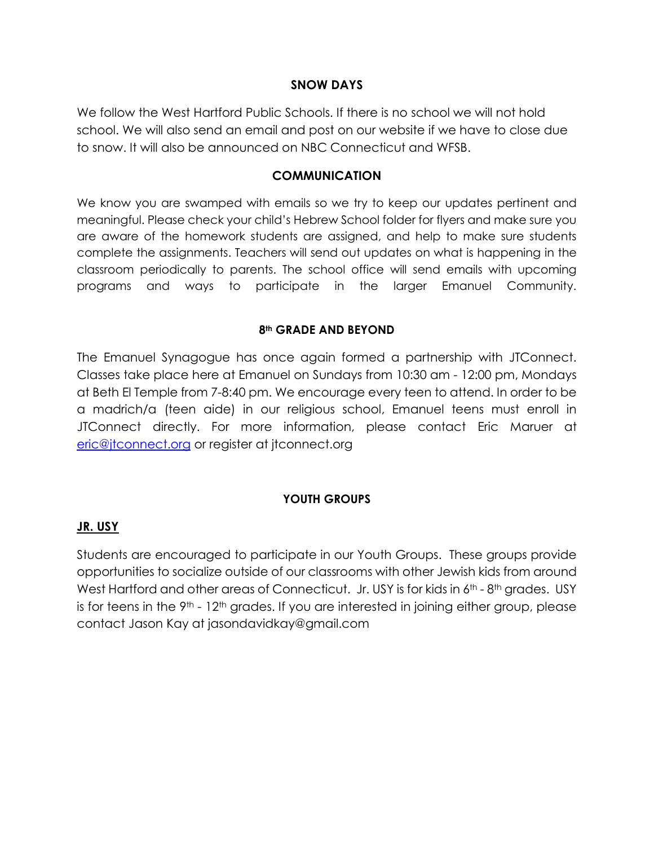## **SNOW DAYS**

We follow the West Hartford Public Schools. If there is no school we will not hold school. We will also send an email and post on our website if we have to close due to snow. It will also be announced on NBC Connecticut and WFSB.

### **COMMUNICATION**

We know you are swamped with emails so we try to keep our updates pertinent and meaningful. Please check your child's Hebrew School folder for flyers and make sure you are aware of the homework students are assigned, and help to make sure students complete the assignments. Teachers will send out updates on what is happening in the classroom periodically to parents. The school office will send emails with upcoming programs and ways to participate in the larger Emanuel Community.

## **8th GRADE AND BEYOND**

The Emanuel Synagogue has once again formed a partnership with JTConnect. Classes take place here at Emanuel on Sundays from 10:30 am - 12:00 pm, Mondays at Beth El Temple from 7-8:40 pm. We encourage every teen to attend. In order to be a madrich/a (teen aide) in our religious school, Emanuel teens must enroll in JTConnect directly. For more information, please contact Eric Maruer at [eric@jtconnect.org](mailto:eric@jtconnect.org) or register at jtconnect.org

## **YOUTH GROUPS**

## **JR. USY**

Students are encouraged to participate in our Youth Groups. These groups provide opportunities to socialize outside of our classrooms with other Jewish kids from around West Hartford and other areas of Connecticut. Jr. USY is for kids in 6<sup>th</sup> - 8<sup>th</sup> grades. USY is for teens in the  $9<sup>th</sup> - 12<sup>th</sup>$  grades. If you are interested in joining either group, please contact Jason Kay at jasondavidkay@gmail.com